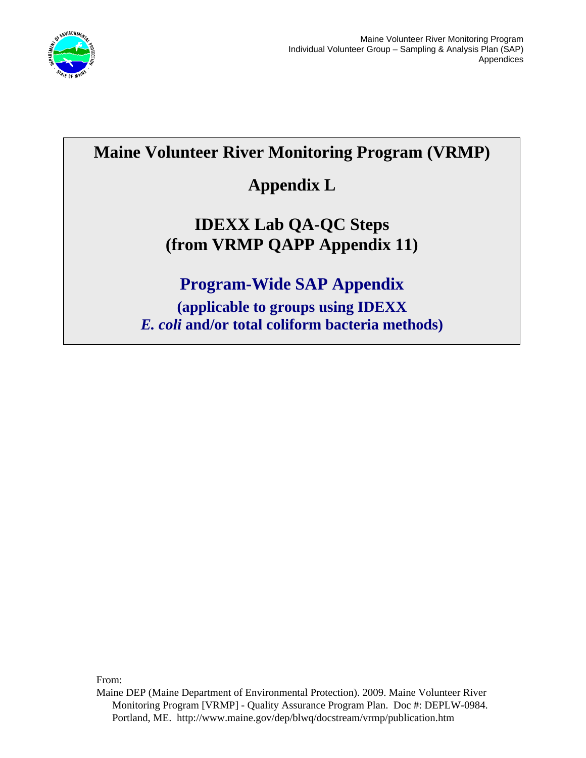

## **Maine Volunteer River Monitoring Program (VRMP)**

# **Appendix L**

## **IDEXX Lab QA-QC Steps (from VRMP QAPP Appendix 11)**

# **Program-Wide SAP Appendix**

**(applicable to groups using IDEXX**  *E. coli* **and/or total coliform bacteria methods)**

From:

Maine DEP (Maine Department of Environmental Protection). 2009. Maine Volunteer River Monitoring Program [VRMP] - Quality Assurance Program Plan. Doc #: DEPLW-0984. Portland, ME. http://www.maine.gov/dep/blwq/docstream/vrmp/publication.htm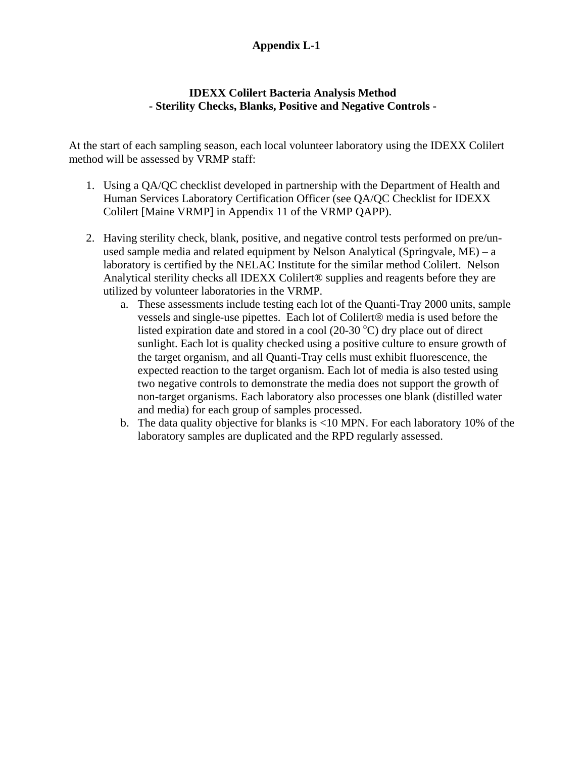#### **Appendix L-1**

#### **IDEXX Colilert Bacteria Analysis Method - Sterility Checks, Blanks, Positive and Negative Controls -**

At the start of each sampling season, each local volunteer laboratory using the IDEXX Colilert method will be assessed by VRMP staff:

- 1. Using a QA/QC checklist developed in partnership with the Department of Health and Human Services Laboratory Certification Officer (see QA/QC Checklist for IDEXX Colilert [Maine VRMP] in Appendix 11 of the VRMP QAPP).
- 2. Having sterility check, blank, positive, and negative control tests performed on pre/unused sample media and related equipment by Nelson Analytical (Springvale,  $ME$ ) – a laboratory is certified by the NELAC Institute for the similar method Colilert. Nelson Analytical sterility checks all IDEXX Colilert® supplies and reagents before they are utilized by volunteer laboratories in the VRMP.
	- a. These assessments include testing each lot of the Quanti-Tray 2000 units, sample vessels and single-use pipettes. Each lot of Colilert® media is used before the listed expiration date and stored in a cool (20-30  $^{\circ}$ C) dry place out of direct sunlight. Each lot is quality checked using a positive culture to ensure growth of the target organism, and all Quanti-Tray cells must exhibit fluorescence, the expected reaction to the target organism. Each lot of media is also tested using two negative controls to demonstrate the media does not support the growth of non-target organisms. Each laboratory also processes one blank (distilled water and media) for each group of samples processed.
	- b. The data quality objective for blanks is <10 MPN. For each laboratory 10% of the laboratory samples are duplicated and the RPD regularly assessed.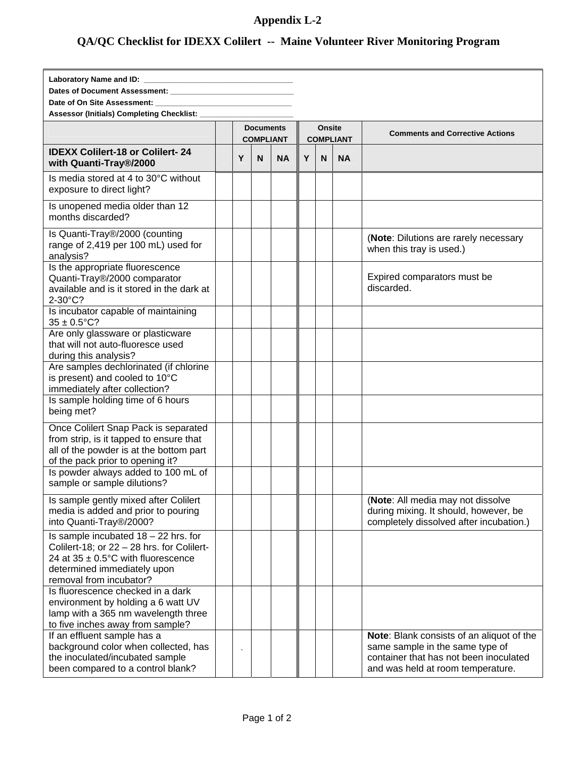#### **Appendix L-2**

### **QA/QC Checklist for IDEXX Colilert -- Maine Volunteer River Monitoring Program**

| Assessor (Initials) Completing Checklist: ____                                                                                                                                                                                       |  |                                      |   |           |   |        |                  |                                                                                                                                                             |
|--------------------------------------------------------------------------------------------------------------------------------------------------------------------------------------------------------------------------------------|--|--------------------------------------|---|-----------|---|--------|------------------|-------------------------------------------------------------------------------------------------------------------------------------------------------------|
|                                                                                                                                                                                                                                      |  | <b>Documents</b><br><b>COMPLIANT</b> |   |           |   | Onsite | <b>COMPLIANT</b> | <b>Comments and Corrective Actions</b>                                                                                                                      |
| <b>IDEXX Collert-18 or Colllert-24</b><br>with Quanti-Tray®/2000                                                                                                                                                                     |  | Y                                    | N | <b>NA</b> | Y | N      | <b>NA</b>        |                                                                                                                                                             |
| Is media stored at 4 to 30°C without<br>exposure to direct light?                                                                                                                                                                    |  |                                      |   |           |   |        |                  |                                                                                                                                                             |
| Is unopened media older than 12<br>months discarded?                                                                                                                                                                                 |  |                                      |   |           |   |        |                  |                                                                                                                                                             |
| Is Quanti-Tray®/2000 (counting<br>range of 2,419 per 100 mL) used for<br>analysis?                                                                                                                                                   |  |                                      |   |           |   |        |                  | (Note: Dilutions are rarely necessary<br>when this tray is used.)                                                                                           |
| Is the appropriate fluorescence<br>Quanti-Tray®/2000 comparator<br>available and is it stored in the dark at<br>2-30°C?                                                                                                              |  |                                      |   |           |   |        |                  | Expired comparators must be<br>discarded.                                                                                                                   |
| Is incubator capable of maintaining<br>$35 \pm 0.5$ °C?                                                                                                                                                                              |  |                                      |   |           |   |        |                  |                                                                                                                                                             |
| Are only glassware or plasticware<br>that will not auto-fluoresce used<br>during this analysis?                                                                                                                                      |  |                                      |   |           |   |        |                  |                                                                                                                                                             |
| Are samples dechlorinated (if chlorine<br>is present) and cooled to 10°C<br>immediately after collection?<br>Is sample holding time of 6 hours<br>being met?                                                                         |  |                                      |   |           |   |        |                  |                                                                                                                                                             |
| Once Colilert Snap Pack is separated<br>from strip, is it tapped to ensure that<br>all of the powder is at the bottom part<br>of the pack prior to opening it?<br>Is powder always added to 100 mL of<br>sample or sample dilutions? |  |                                      |   |           |   |        |                  |                                                                                                                                                             |
| Is sample gently mixed after Colilert<br>media is added and prior to pouring<br>into Quanti-Tray®/2000?                                                                                                                              |  |                                      |   |           |   |        |                  | (Note: All media may not dissolve<br>during mixing. It should, however, be<br>completely dissolved after incubation.)                                       |
| Is sample incubated $18 - 22$ hrs. for<br>Colilert-18; or 22 - 28 hrs. for Colilert-<br>24 at $35 \pm 0.5^{\circ}$ C with fluorescence<br>determined immediately upon<br>removal from incubator?                                     |  |                                      |   |           |   |        |                  |                                                                                                                                                             |
| Is fluorescence checked in a dark<br>environment by holding a 6 watt UV<br>lamp with a 365 nm wavelength three<br>to five inches away from sample?                                                                                   |  |                                      |   |           |   |        |                  |                                                                                                                                                             |
| If an effluent sample has a<br>background color when collected, has<br>the inoculated/incubated sample<br>been compared to a control blank?                                                                                          |  |                                      |   |           |   |        |                  | Note: Blank consists of an aliquot of the<br>same sample in the same type of<br>container that has not been inoculated<br>and was held at room temperature. |